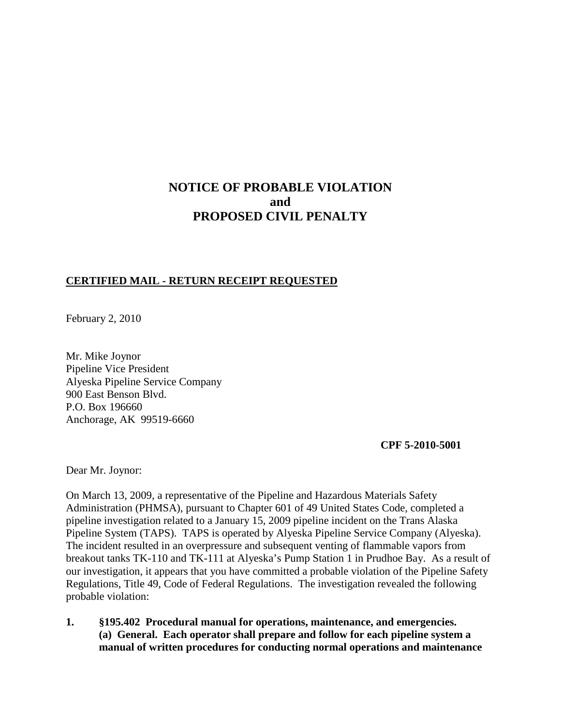## **NOTICE OF PROBABLE VIOLATION and PROPOSED CIVIL PENALTY**

## **CERTIFIED MAIL - RETURN RECEIPT REQUESTED**

February 2, 2010

Mr. Mike Joynor Pipeline Vice President Alyeska Pipeline Service Company 900 East Benson Blvd. P.O. Box 196660 Anchorage, AK 99519-6660

 **CPF 5-2010-5001**

Dear Mr. Joynor:

On March 13, 2009, a representative of the Pipeline and Hazardous Materials Safety Administration (PHMSA), pursuant to Chapter 601 of 49 United States Code, completed a pipeline investigation related to a January 15, 2009 pipeline incident on the Trans Alaska Pipeline System (TAPS). TAPS is operated by Alyeska Pipeline Service Company (Alyeska). The incident resulted in an overpressure and subsequent venting of flammable vapors from breakout tanks TK-110 and TK-111 at Alyeska's Pump Station 1 in Prudhoe Bay. As a result of our investigation, it appears that you have committed a probable violation of the Pipeline Safety Regulations, Title 49, Code of Federal Regulations. The investigation revealed the following probable violation:

**1. §195.402 Procedural manual for operations, maintenance, and emergencies. (a) General. Each operator shall prepare and follow for each pipeline system a manual of written procedures for conducting normal operations and maintenance**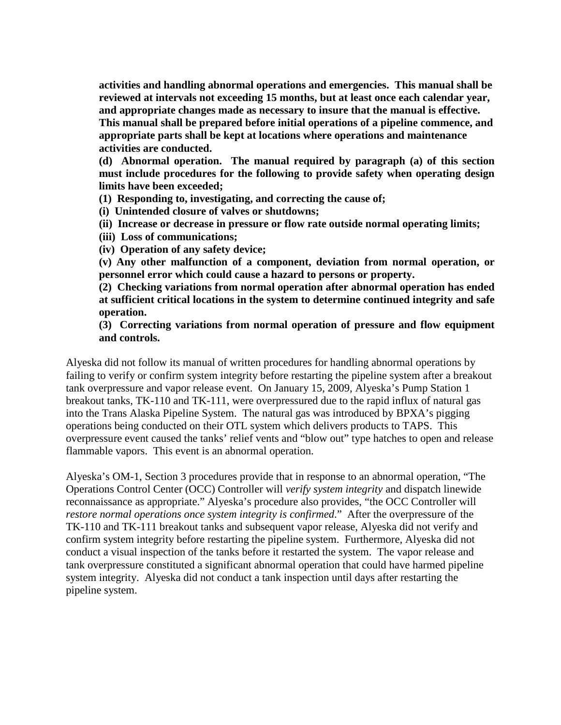**activities and handling abnormal operations and emergencies. This manual shall be reviewed at intervals not exceeding 15 months, but at least once each calendar year, and appropriate changes made as necessary to insure that the manual is effective. This manual shall be prepared before initial operations of a pipeline commence, and appropriate parts shall be kept at locations where operations and maintenance activities are conducted.**

**(d) Abnormal operation. The manual required by paragraph (a) of this section must include procedures for the following to provide safety when operating design limits have been exceeded;**

**(1) Responding to, investigating, and correcting the cause of;**

**(i) Unintended closure of valves or shutdowns;**

**(ii) Increase or decrease in pressure or flow rate outside normal operating limits;**

**(iii) Loss of communications;**

**(iv) Operation of any safety device;**

**(v) Any other malfunction of a component, deviation from normal operation, or personnel error which could cause a hazard to persons or property.**

**(2) Checking variations from normal operation after abnormal operation has ended at sufficient critical locations in the system to determine continued integrity and safe operation.**

**(3) Correcting variations from normal operation of pressure and flow equipment and controls.**

Alyeska did not follow its manual of written procedures for handling abnormal operations by failing to verify or confirm system integrity before restarting the pipeline system after a breakout tank overpressure and vapor release event. On January 15, 2009, Alyeska's Pump Station 1 breakout tanks, TK-110 and TK-111, were overpressured due to the rapid influx of natural gas into the Trans Alaska Pipeline System. The natural gas was introduced by BPXA's pigging operations being conducted on their OTL system which delivers products to TAPS. This overpressure event caused the tanks' relief vents and "blow out" type hatches to open and release flammable vapors. This event is an abnormal operation.

Alyeska's OM-1, Section 3 procedures provide that in response to an abnormal operation, "The Operations Control Center (OCC) Controller will *verify system integrity* and dispatch linewide reconnaissance as appropriate." Alyeska's procedure also provides, "the OCC Controller will *restore normal operations once system integrity is confirmed*." After the overpressure of the TK-110 and TK-111 breakout tanks and subsequent vapor release, Alyeska did not verify and confirm system integrity before restarting the pipeline system. Furthermore, Alyeska did not conduct a visual inspection of the tanks before it restarted the system. The vapor release and tank overpressure constituted a significant abnormal operation that could have harmed pipeline system integrity. Alyeska did not conduct a tank inspection until days after restarting the pipeline system.